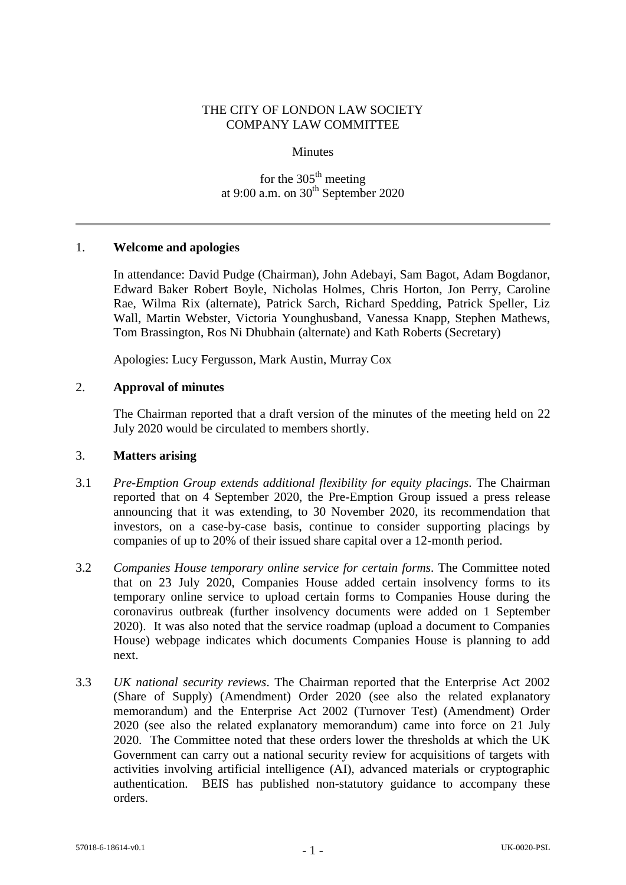### THE CITY OF LONDON LAW SOCIETY COMPANY LAW COMMITTEE

#### **Minutes**

for the  $305<sup>th</sup>$  meeting at 9:00 a.m. on  $30<sup>th</sup>$  September 2020

### 1. **Welcome and apologies**

In attendance: David Pudge (Chairman), John Adebayi, Sam Bagot, Adam Bogdanor, Edward Baker Robert Boyle, Nicholas Holmes, Chris Horton, Jon Perry, Caroline Rae, Wilma Rix (alternate), Patrick Sarch, Richard Spedding, Patrick Speller, Liz Wall, Martin Webster, Victoria Younghusband, Vanessa Knapp, Stephen Mathews, Tom Brassington, Ros Ni Dhubhain (alternate) and Kath Roberts (Secretary)

Apologies: Lucy Fergusson, Mark Austin, Murray Cox

### 2. **Approval of minutes**

The Chairman reported that a draft version of the minutes of the meeting held on 22 July 2020 would be circulated to members shortly.

#### 3. **Matters arising**

- 3.1 *Pre-Emption Group extends additional flexibility for equity placings.* The Chairman reported that on 4 September 2020, the Pre-Emption Group issued a press release announcing that it was extending, to 30 November 2020, its recommendation that investors, on a case-by-case basis, continue to consider supporting placings by companies of up to 20% of their issued share capital over a 12-month period.
- 3.2 *Companies House temporary online service for certain forms*. The Committee noted that on 23 July 2020, Companies House added certain insolvency forms to its temporary online service to upload certain forms to Companies House during the coronavirus outbreak (further insolvency documents were added on 1 September 2020). It was also noted that the service roadmap (upload a document to Companies House) webpage indicates which documents Companies House is planning to add next.
- 3.3 *UK national security reviews*. The Chairman reported that the Enterprise Act 2002 (Share of Supply) (Amendment) Order 2020 (see also the related explanatory memorandum) and the Enterprise Act 2002 (Turnover Test) (Amendment) Order 2020 (see also the related explanatory memorandum) came into force on 21 July 2020. The Committee noted that these orders lower the thresholds at which the UK Government can carry out a national security review for acquisitions of targets with activities involving artificial intelligence (AI), advanced materials or cryptographic authentication. BEIS has published non-statutory guidance to accompany these orders.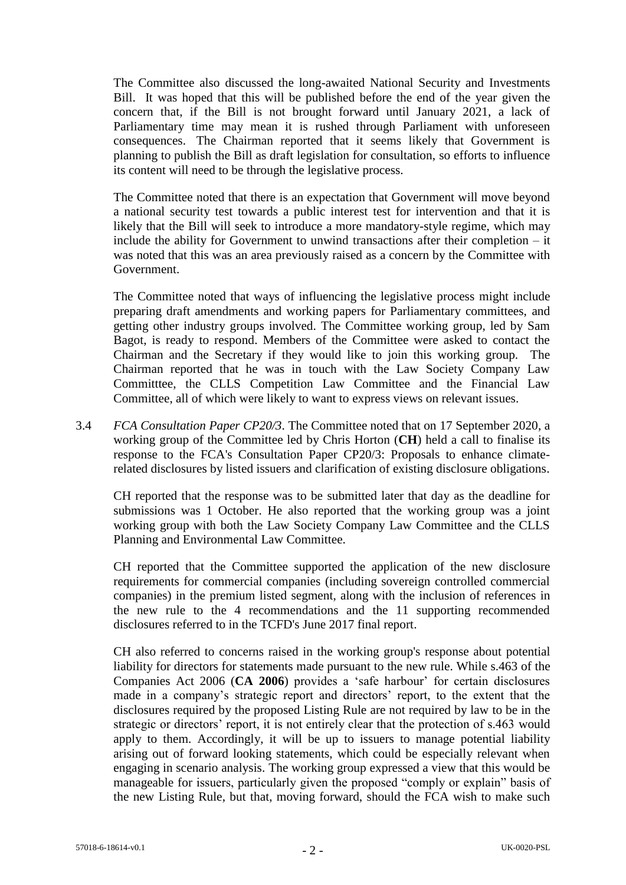The Committee also discussed the long-awaited National Security and Investments Bill. It was hoped that this will be published before the end of the year given the concern that, if the Bill is not brought forward until January 2021, a lack of Parliamentary time may mean it is rushed through Parliament with unforeseen consequences. The Chairman reported that it seems likely that Government is planning to publish the Bill as draft legislation for consultation, so efforts to influence its content will need to be through the legislative process.

The Committee noted that there is an expectation that Government will move beyond a national security test towards a public interest test for intervention and that it is likely that the Bill will seek to introduce a more mandatory-style regime, which may include the ability for Government to unwind transactions after their completion – it was noted that this was an area previously raised as a concern by the Committee with Government.

The Committee noted that ways of influencing the legislative process might include preparing draft amendments and working papers for Parliamentary committees, and getting other industry groups involved. The Committee working group, led by Sam Bagot, is ready to respond. Members of the Committee were asked to contact the Chairman and the Secretary if they would like to join this working group. The Chairman reported that he was in touch with the Law Society Company Law Committtee, the CLLS Competition Law Committee and the Financial Law Committee, all of which were likely to want to express views on relevant issues.

3.4 *FCA Consultation Paper CP20/3*. The Committee noted that on 17 September 2020, a working group of the Committee led by Chris Horton (**CH**) held a call to finalise its response to the FCA's Consultation Paper CP20/3: Proposals to enhance climaterelated disclosures by listed issuers and clarification of existing disclosure obligations.

CH reported that the response was to be submitted later that day as the deadline for submissions was 1 October. He also reported that the working group was a joint working group with both the Law Society Company Law Committee and the CLLS Planning and Environmental Law Committee.

CH reported that the Committee supported the application of the new disclosure requirements for commercial companies (including sovereign controlled commercial companies) in the premium listed segment, along with the inclusion of references in the new rule to the 4 recommendations and the 11 supporting recommended disclosures referred to in the TCFD's June 2017 final report.

CH also referred to concerns raised in the working group's response about potential liability for directors for statements made pursuant to the new rule. While s.463 of the Companies Act 2006 (**CA 2006**) provides a 'safe harbour' for certain disclosures made in a company's strategic report and directors' report, to the extent that the disclosures required by the proposed Listing Rule are not required by law to be in the strategic or directors' report, it is not entirely clear that the protection of s.463 would apply to them. Accordingly, it will be up to issuers to manage potential liability arising out of forward looking statements, which could be especially relevant when engaging in scenario analysis. The working group expressed a view that this would be manageable for issuers, particularly given the proposed "comply or explain" basis of the new Listing Rule, but that, moving forward, should the FCA wish to make such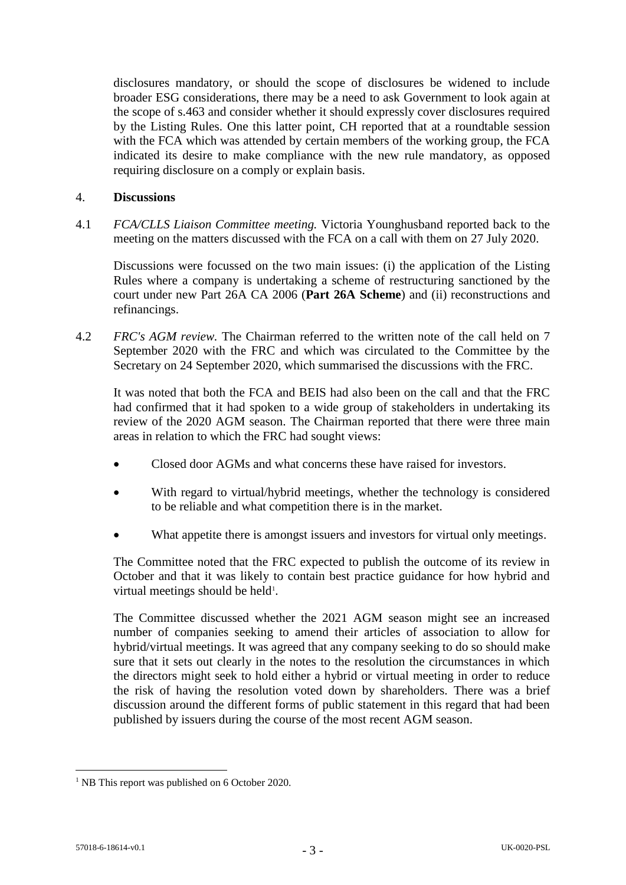disclosures mandatory, or should the scope of disclosures be widened to include broader ESG considerations, there may be a need to ask Government to look again at the scope of s.463 and consider whether it should expressly cover disclosures required by the Listing Rules. One this latter point, CH reported that at a roundtable session with the FCA which was attended by certain members of the working group, the FCA indicated its desire to make compliance with the new rule mandatory, as opposed requiring disclosure on a comply or explain basis.

#### 4. **Discussions**

4.1 *FCA/CLLS Liaison Committee meeting.* Victoria Younghusband reported back to the meeting on the matters discussed with the FCA on a call with them on 27 July 2020.

Discussions were focussed on the two main issues: (i) the application of the Listing Rules where a company is undertaking a scheme of restructuring sanctioned by the court under new Part 26A CA 2006 (**Part 26A Scheme**) and (ii) reconstructions and refinancings.

4.2 *FRC's AGM review.* The Chairman referred to the written note of the call held on 7 September 2020 with the FRC and which was circulated to the Committee by the Secretary on 24 September 2020, which summarised the discussions with the FRC.

It was noted that both the FCA and BEIS had also been on the call and that the FRC had confirmed that it had spoken to a wide group of stakeholders in undertaking its review of the 2020 AGM season. The Chairman reported that there were three main areas in relation to which the FRC had sought views:

- Closed door AGMs and what concerns these have raised for investors.
- With regard to virtual/hybrid meetings, whether the technology is considered to be reliable and what competition there is in the market.
- What appetite there is amongst issuers and investors for virtual only meetings.

The Committee noted that the FRC expected to publish the outcome of its review in October and that it was likely to contain best practice guidance for how hybrid and virtual meetings should be held<sup>1</sup>.

The Committee discussed whether the 2021 AGM season might see an increased number of companies seeking to amend their articles of association to allow for hybrid/virtual meetings. It was agreed that any company seeking to do so should make sure that it sets out clearly in the notes to the resolution the circumstances in which the directors might seek to hold either a hybrid or virtual meeting in order to reduce the risk of having the resolution voted down by shareholders. There was a brief discussion around the different forms of public statement in this regard that had been published by issuers during the course of the most recent AGM season.

1

<sup>&</sup>lt;sup>1</sup> NB This report was published on 6 October 2020.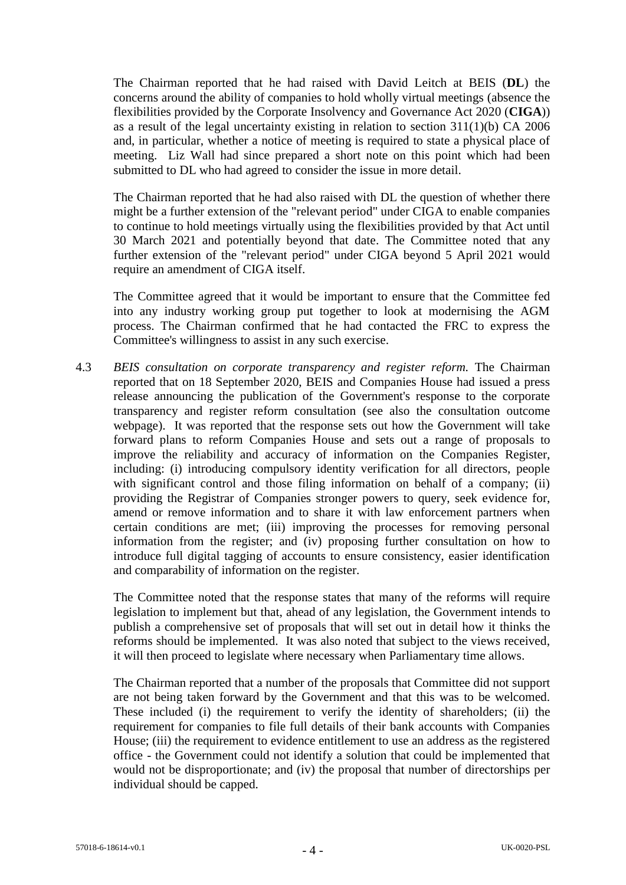The Chairman reported that he had raised with David Leitch at BEIS (**DL**) the concerns around the ability of companies to hold wholly virtual meetings (absence the flexibilities provided by the Corporate Insolvency and Governance Act 2020 (**CIGA**)) as a result of the legal uncertainty existing in relation to section 311(1)(b) CA 2006 and, in particular, whether a notice of meeting is required to state a physical place of meeting. Liz Wall had since prepared a short note on this point which had been submitted to DL who had agreed to consider the issue in more detail.

The Chairman reported that he had also raised with DL the question of whether there might be a further extension of the "relevant period" under CIGA to enable companies to continue to hold meetings virtually using the flexibilities provided by that Act until 30 March 2021 and potentially beyond that date. The Committee noted that any further extension of the "relevant period" under CIGA beyond 5 April 2021 would require an amendment of CIGA itself.

The Committee agreed that it would be important to ensure that the Committee fed into any industry working group put together to look at modernising the AGM process. The Chairman confirmed that he had contacted the FRC to express the Committee's willingness to assist in any such exercise.

4.3 *BEIS consultation on corporate transparency and register reform.* The Chairman reported that on 18 September 2020, BEIS and Companies House had issued a press release announcing the publication of the Government's response to the corporate transparency and register reform consultation (see also the consultation outcome webpage). It was reported that the response sets out how the Government will take forward plans to reform Companies House and sets out a range of proposals to improve the reliability and accuracy of information on the Companies Register, including: (i) introducing compulsory identity verification for all directors, people with significant control and those filing information on behalf of a company; (ii) providing the Registrar of Companies stronger powers to query, seek evidence for, amend or remove information and to share it with law enforcement partners when certain conditions are met; (iii) improving the processes for removing personal information from the register; and (iv) proposing further consultation on how to introduce full digital tagging of accounts to ensure consistency, easier identification and comparability of information on the register.

The Committee noted that the response states that many of the reforms will require legislation to implement but that, ahead of any legislation, the Government intends to publish a comprehensive set of proposals that will set out in detail how it thinks the reforms should be implemented. It was also noted that subject to the views received, it will then proceed to legislate where necessary when Parliamentary time allows.

The Chairman reported that a number of the proposals that Committee did not support are not being taken forward by the Government and that this was to be welcomed. These included (i) the requirement to verify the identity of shareholders; (ii) the requirement for companies to file full details of their bank accounts with Companies House; (iii) the requirement to evidence entitlement to use an address as the registered office - the Government could not identify a solution that could be implemented that would not be disproportionate; and (iv) the proposal that number of directorships per individual should be capped.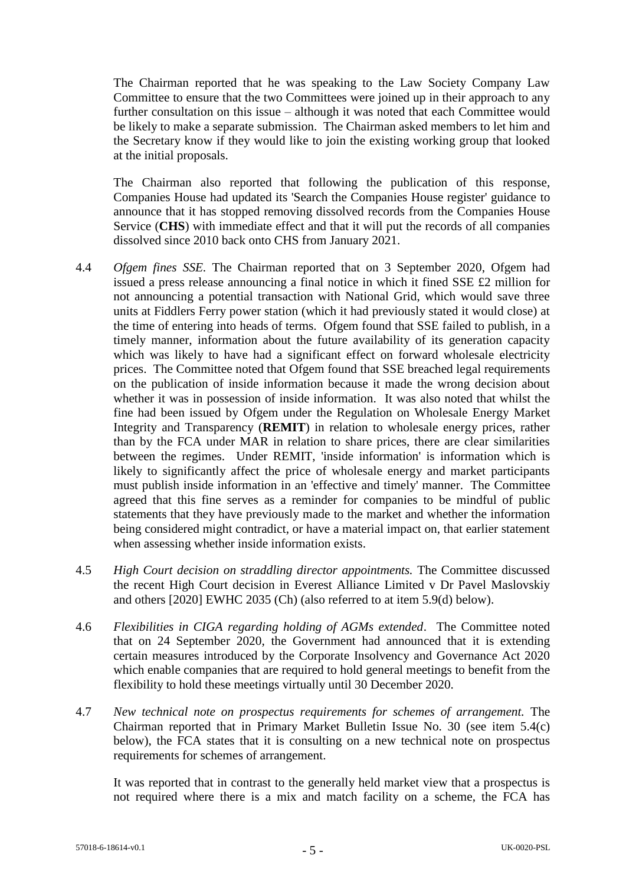The Chairman reported that he was speaking to the Law Society Company Law Committee to ensure that the two Committees were joined up in their approach to any further consultation on this issue – although it was noted that each Committee would be likely to make a separate submission. The Chairman asked members to let him and the Secretary know if they would like to join the existing working group that looked at the initial proposals.

The Chairman also reported that following the publication of this response, Companies House had updated its 'Search the Companies House register' guidance to announce that it has stopped removing dissolved records from the Companies House Service (**CHS**) with immediate effect and that it will put the records of all companies dissolved since 2010 back onto CHS from January 2021.

- 4.4 *Ofgem fines SSE.* The Chairman reported that on 3 September 2020, Ofgem had issued a press release announcing a final notice in which it fined SSE £2 million for not announcing a potential transaction with National Grid, which would save three units at Fiddlers Ferry power station (which it had previously stated it would close) at the time of entering into heads of terms. Ofgem found that SSE failed to publish, in a timely manner, information about the future availability of its generation capacity which was likely to have had a significant effect on forward wholesale electricity prices. The Committee noted that Ofgem found that SSE breached legal requirements on the publication of inside information because it made the wrong decision about whether it was in possession of inside information. It was also noted that whilst the fine had been issued by Ofgem under the Regulation on Wholesale Energy Market Integrity and Transparency (**REMIT**) in relation to wholesale energy prices, rather than by the FCA under MAR in relation to share prices, there are clear similarities between the regimes. Under REMIT, 'inside information' is information which is likely to significantly affect the price of wholesale energy and market participants must publish inside information in an 'effective and timely' manner. The Committee agreed that this fine serves as a reminder for companies to be mindful of public statements that they have previously made to the market and whether the information being considered might contradict, or have a material impact on, that earlier statement when assessing whether inside information exists.
- 4.5 *High Court decision on straddling director appointments.* The Committee discussed the recent High Court decision in Everest Alliance Limited v Dr Pavel Maslovskiy and others [2020] EWHC 2035 (Ch) (also referred to at item 5.9(d) below).
- 4.6 *Flexibilities in CIGA regarding holding of AGMs extended*. The Committee noted that on 24 September 2020, the Government had announced that it is extending certain measures introduced by the Corporate Insolvency and Governance Act 2020 which enable companies that are required to hold general meetings to benefit from the flexibility to hold these meetings virtually until 30 December 2020.
- 4.7 *New technical note on prospectus requirements for schemes of arrangement.* The Chairman reported that in Primary Market Bulletin Issue No. 30 (see item 5.4(c) below), the FCA states that it is consulting on a new technical note on prospectus requirements for schemes of arrangement.

It was reported that in contrast to the generally held market view that a prospectus is not required where there is a mix and match facility on a scheme, the FCA has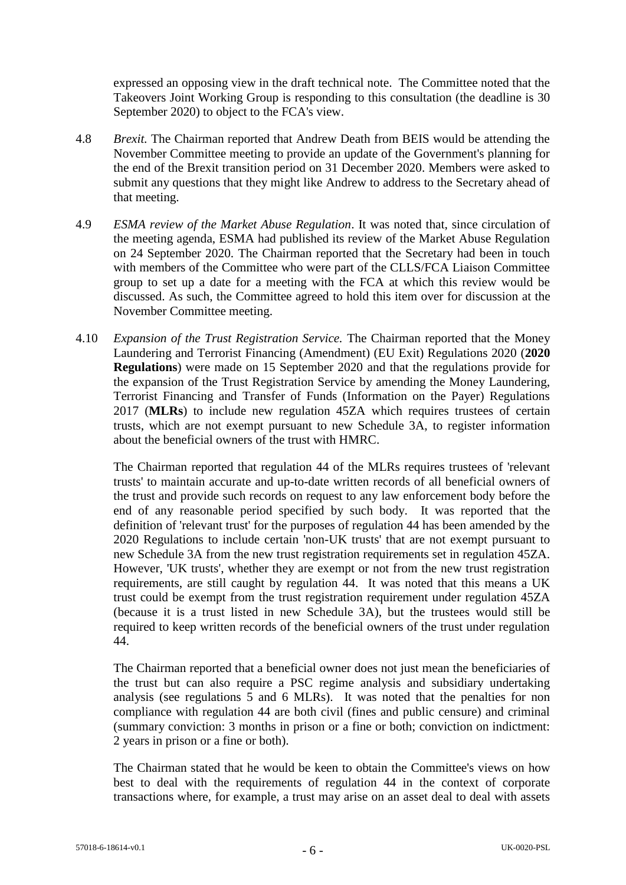expressed an opposing view in the draft technical note. The Committee noted that the Takeovers Joint Working Group is responding to this consultation (the deadline is 30 September 2020) to object to the FCA's view.

- 4.8 *Brexit.* The Chairman reported that Andrew Death from BEIS would be attending the November Committee meeting to provide an update of the Government's planning for the end of the Brexit transition period on 31 December 2020. Members were asked to submit any questions that they might like Andrew to address to the Secretary ahead of that meeting.
- 4.9 *ESMA review of the Market Abuse Regulation*. It was noted that, since circulation of the meeting agenda, ESMA had published its review of the Market Abuse Regulation on 24 September 2020. The Chairman reported that the Secretary had been in touch with members of the Committee who were part of the CLLS/FCA Liaison Committee group to set up a date for a meeting with the FCA at which this review would be discussed. As such, the Committee agreed to hold this item over for discussion at the November Committee meeting.
- 4.10 *Expansion of the Trust Registration Service.* The Chairman reported that the Money Laundering and Terrorist Financing (Amendment) (EU Exit) Regulations 2020 (**2020 Regulations**) were made on 15 September 2020 and that the regulations provide for the expansion of the Trust Registration Service by amending the Money Laundering, Terrorist Financing and Transfer of Funds (Information on the Payer) Regulations 2017 (**MLRs**) to include new regulation 45ZA which requires trustees of certain trusts, which are not exempt pursuant to new Schedule 3A, to register information about the beneficial owners of the trust with HMRC.

The Chairman reported that regulation 44 of the MLRs requires trustees of 'relevant trusts' to maintain accurate and up-to-date written records of all beneficial owners of the trust and provide such records on request to any law enforcement body before the end of any reasonable period specified by such body. It was reported that the definition of 'relevant trust' for the purposes of regulation 44 has been amended by the 2020 Regulations to include certain 'non-UK trusts' that are not exempt pursuant to new Schedule 3A from the new trust registration requirements set in regulation 45ZA. However, 'UK trusts', whether they are exempt or not from the new trust registration requirements, are still caught by regulation 44. It was noted that this means a UK trust could be exempt from the trust registration requirement under regulation 45ZA (because it is a trust listed in new Schedule 3A), but the trustees would still be required to keep written records of the beneficial owners of the trust under regulation 44.

The Chairman reported that a beneficial owner does not just mean the beneficiaries of the trust but can also require a PSC regime analysis and subsidiary undertaking analysis (see regulations 5 and 6 MLRs). It was noted that the penalties for non compliance with regulation 44 are both civil (fines and public censure) and criminal (summary conviction: 3 months in prison or a fine or both; conviction on indictment: 2 years in prison or a fine or both).

The Chairman stated that he would be keen to obtain the Committee's views on how best to deal with the requirements of regulation 44 in the context of corporate transactions where, for example, a trust may arise on an asset deal to deal with assets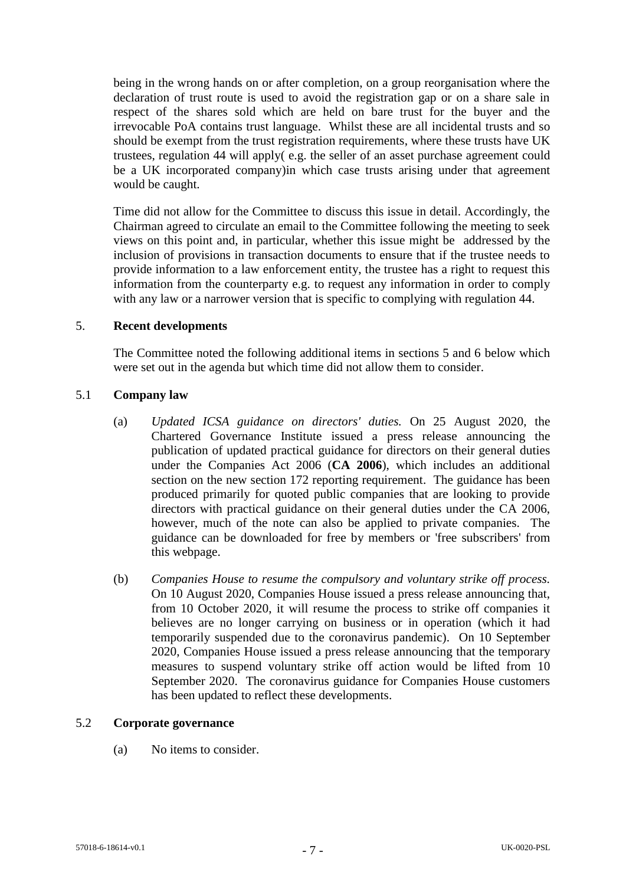being in the wrong hands on or after completion, on a group reorganisation where the declaration of trust route is used to avoid the registration gap or on a share sale in respect of the shares sold which are held on bare trust for the buyer and the irrevocable PoA contains trust language. Whilst these are all incidental trusts and so should be exempt from the trust registration requirements, where these trusts have UK trustees, regulation 44 will apply( e.g. the seller of an asset purchase agreement could be a UK incorporated company)in which case trusts arising under that agreement would be caught.

Time did not allow for the Committee to discuss this issue in detail. Accordingly, the Chairman agreed to circulate an email to the Committee following the meeting to seek views on this point and, in particular, whether this issue might be addressed by the inclusion of provisions in transaction documents to ensure that if the trustee needs to provide information to a law enforcement entity, the trustee has a right to request this information from the counterparty e.g. to request any information in order to comply with any law or a narrower version that is specific to complying with regulation 44.

### 5. **Recent developments**

The Committee noted the following additional items in sections 5 and 6 below which were set out in the agenda but which time did not allow them to consider.

### 5.1 **Company law**

- (a) *Updated ICSA guidance on directors' duties.* On 25 August 2020, the Chartered Governance Institute issued a press release announcing the publication of updated practical guidance for directors on their general duties under the Companies Act 2006 (**CA 2006**), which includes an additional section on the new section 172 reporting requirement. The guidance has been produced primarily for quoted public companies that are looking to provide directors with practical guidance on their general duties under the CA 2006, however, much of the note can also be applied to private companies. The guidance can be downloaded for free by members or 'free subscribers' from this webpage.
- (b) *Companies House to resume the compulsory and voluntary strike off process.* On 10 August 2020, Companies House issued a press release announcing that, from 10 October 2020, it will resume the process to strike off companies it believes are no longer carrying on business or in operation (which it had temporarily suspended due to the coronavirus pandemic). On 10 September 2020, Companies House issued a press release announcing that the temporary measures to suspend voluntary strike off action would be lifted from 10 September 2020. The coronavirus guidance for Companies House customers has been updated to reflect these developments.

#### 5.2 **Corporate governance**

(a) No items to consider.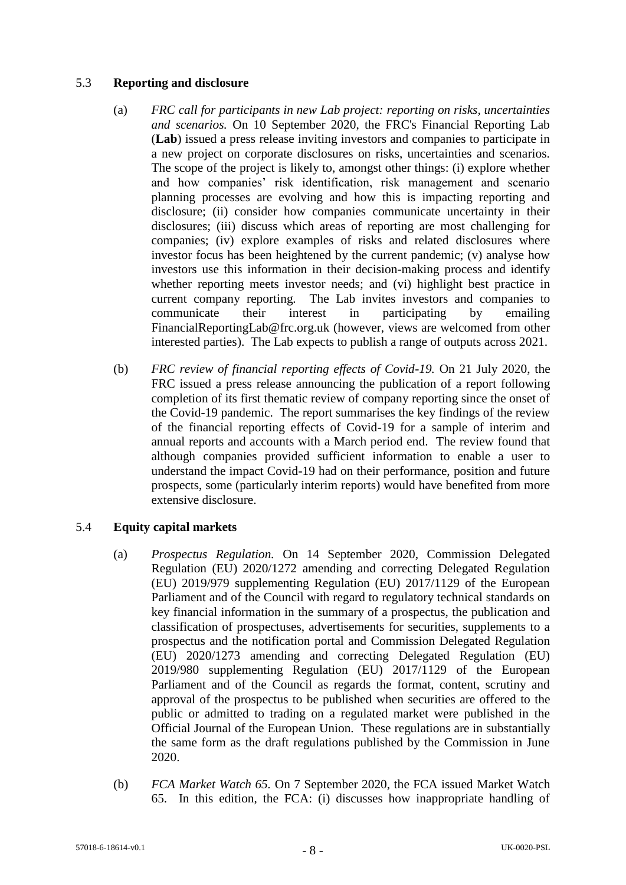## 5.3 **Reporting and disclosure**

- (a) *FRC call for participants in new Lab project: reporting on risks, uncertainties and scenarios.* On 10 September 2020, the FRC's Financial Reporting Lab (**Lab**) issued a press release inviting investors and companies to participate in a new project on corporate disclosures on risks, uncertainties and scenarios. The scope of the project is likely to, amongst other things: (i) explore whether and how companies' risk identification, risk management and scenario planning processes are evolving and how this is impacting reporting and disclosure; (ii) consider how companies communicate uncertainty in their disclosures; (iii) discuss which areas of reporting are most challenging for companies; (iv) explore examples of risks and related disclosures where investor focus has been heightened by the current pandemic; (v) analyse how investors use this information in their decision-making process and identify whether reporting meets investor needs; and (vi) highlight best practice in current company reporting. The Lab invites investors and companies to communicate their interest in participating by emailing FinancialReportingLab@frc.org.uk (however, views are welcomed from other interested parties). The Lab expects to publish a range of outputs across 2021.
- (b) *FRC review of financial reporting effects of Covid-19.* On 21 July 2020, the FRC issued a press release announcing the publication of a report following completion of its first thematic review of company reporting since the onset of the Covid-19 pandemic. The report summarises the key findings of the review of the financial reporting effects of Covid-19 for a sample of interim and annual reports and accounts with a March period end. The review found that although companies provided sufficient information to enable a user to understand the impact Covid-19 had on their performance, position and future prospects, some (particularly interim reports) would have benefited from more extensive disclosure.

## 5.4 **Equity capital markets**

- (a) *Prospectus Regulation.* On 14 September 2020, Commission Delegated Regulation (EU) 2020/1272 amending and correcting Delegated Regulation (EU) 2019/979 supplementing Regulation (EU) 2017/1129 of the European Parliament and of the Council with regard to regulatory technical standards on key financial information in the summary of a prospectus, the publication and classification of prospectuses, advertisements for securities, supplements to a prospectus and the notification portal and Commission Delegated Regulation (EU) 2020/1273 amending and correcting Delegated Regulation (EU) 2019/980 supplementing Regulation (EU) 2017/1129 of the European Parliament and of the Council as regards the format, content, scrutiny and approval of the prospectus to be published when securities are offered to the public or admitted to trading on a regulated market were published in the Official Journal of the European Union. These regulations are in substantially the same form as the draft regulations published by the Commission in June 2020.
- (b) *FCA Market Watch 65.* On 7 September 2020, the FCA issued Market Watch 65. In this edition, the FCA: (i) discusses how inappropriate handling of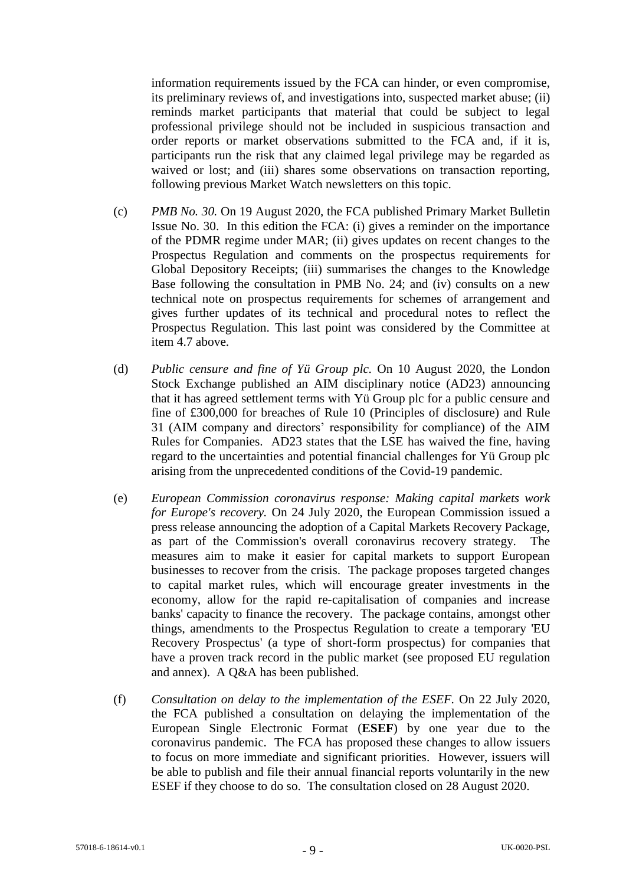information requirements issued by the FCA can hinder, or even compromise, its preliminary reviews of, and investigations into, suspected market abuse; (ii) reminds market participants that material that could be subject to legal professional privilege should not be included in suspicious transaction and order reports or market observations submitted to the FCA and, if it is, participants run the risk that any claimed legal privilege may be regarded as waived or lost; and (iii) shares some observations on transaction reporting, following previous Market Watch newsletters on this topic.

- (c) *PMB No. 30.* On 19 August 2020, the FCA published Primary Market Bulletin Issue No. 30. In this edition the FCA: (i) gives a reminder on the importance of the PDMR regime under MAR; (ii) gives updates on recent changes to the Prospectus Regulation and comments on the prospectus requirements for Global Depository Receipts; (iii) summarises the changes to the Knowledge Base following the consultation in PMB No. 24; and (iv) consults on a new technical note on prospectus requirements for schemes of arrangement and gives further updates of its technical and procedural notes to reflect the Prospectus Regulation. This last point was considered by the Committee at item 4.7 above.
- (d) *Public censure and fine of Yü Group plc.* On 10 August 2020, the London Stock Exchange published an AIM disciplinary notice (AD23) announcing that it has agreed settlement terms with Yü Group plc for a public censure and fine of £300,000 for breaches of Rule 10 (Principles of disclosure) and Rule 31 (AIM company and directors' responsibility for compliance) of the AIM Rules for Companies. AD23 states that the LSE has waived the fine, having regard to the uncertainties and potential financial challenges for Yü Group plc arising from the unprecedented conditions of the Covid-19 pandemic.
- (e) *European Commission coronavirus response: Making capital markets work for Europe's recovery.* On 24 July 2020, the European Commission issued a press release announcing the adoption of a Capital Markets Recovery Package, as part of the Commission's overall coronavirus recovery strategy. The measures aim to make it easier for capital markets to support European businesses to recover from the crisis. The package proposes targeted changes to capital market rules, which will encourage greater investments in the economy, allow for the rapid re-capitalisation of companies and increase banks' capacity to finance the recovery. The package contains, amongst other things, amendments to the Prospectus Regulation to create a temporary 'EU Recovery Prospectus' (a type of short-form prospectus) for companies that have a proven track record in the public market (see proposed EU regulation and annex). A Q&A has been published.
- (f) *Consultation on delay to the implementation of the ESEF.* On 22 July 2020, the FCA published a consultation on delaying the implementation of the European Single Electronic Format (**ESEF**) by one year due to the coronavirus pandemic. The FCA has proposed these changes to allow issuers to focus on more immediate and significant priorities. However, issuers will be able to publish and file their annual financial reports voluntarily in the new ESEF if they choose to do so. The consultation closed on 28 August 2020.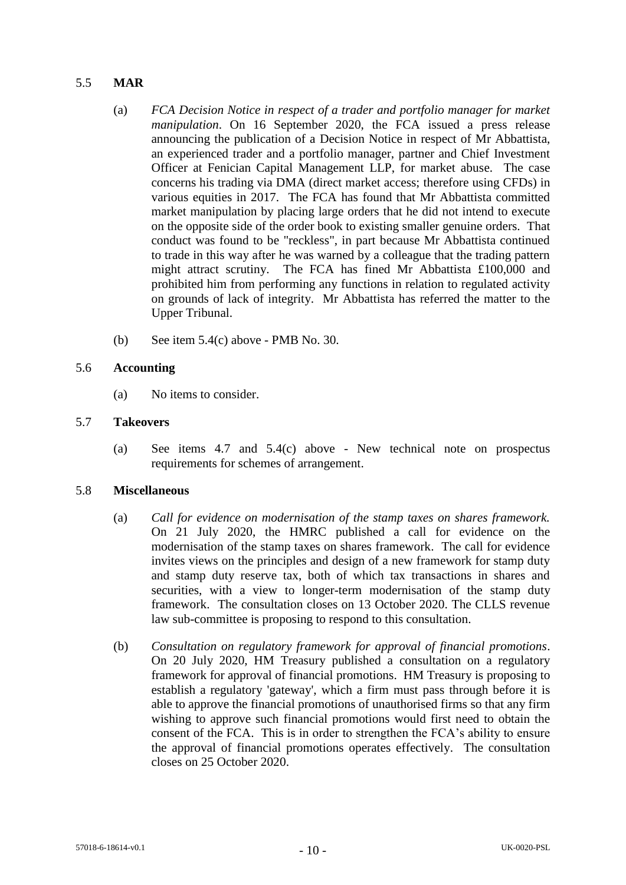## 5.5 **MAR**

- (a) *FCA Decision Notice in respect of a trader and portfolio manager for market manipulation*. On 16 September 2020, the FCA issued a press release announcing the publication of a Decision Notice in respect of Mr Abbattista, an experienced trader and a portfolio manager, partner and Chief Investment Officer at Fenician Capital Management LLP, for market abuse. The case concerns his trading via DMA (direct market access; therefore using CFDs) in various equities in 2017. The FCA has found that Mr Abbattista committed market manipulation by placing large orders that he did not intend to execute on the opposite side of the order book to existing smaller genuine orders. That conduct was found to be "reckless", in part because Mr Abbattista continued to trade in this way after he was warned by a colleague that the trading pattern might attract scrutiny. The FCA has fined Mr Abbattista £100,000 and prohibited him from performing any functions in relation to regulated activity on grounds of lack of integrity. Mr Abbattista has referred the matter to the Upper Tribunal.
- (b) See item  $5.4(c)$  above PMB No. 30.

## 5.6 **Accounting**

(a) No items to consider.

### 5.7 **Takeovers**

(a) See items 4.7 and 5.4(c) above - New technical note on prospectus requirements for schemes of arrangement.

### 5.8 **Miscellaneous**

- (a) *Call for evidence on modernisation of the stamp taxes on shares framework.* On 21 July 2020, the HMRC published a call for evidence on the modernisation of the stamp taxes on shares framework. The call for evidence invites views on the principles and design of a new framework for stamp duty and stamp duty reserve tax, both of which tax transactions in shares and securities, with a view to longer-term modernisation of the stamp duty framework. The consultation closes on 13 October 2020. The CLLS revenue law sub-committee is proposing to respond to this consultation.
- (b) *Consultation on regulatory framework for approval of financial promotions*. On 20 July 2020, HM Treasury published a consultation on a regulatory framework for approval of financial promotions. HM Treasury is proposing to establish a regulatory 'gateway', which a firm must pass through before it is able to approve the financial promotions of unauthorised firms so that any firm wishing to approve such financial promotions would first need to obtain the consent of the FCA. This is in order to strengthen the FCA's ability to ensure the approval of financial promotions operates effectively. The consultation closes on 25 October 2020.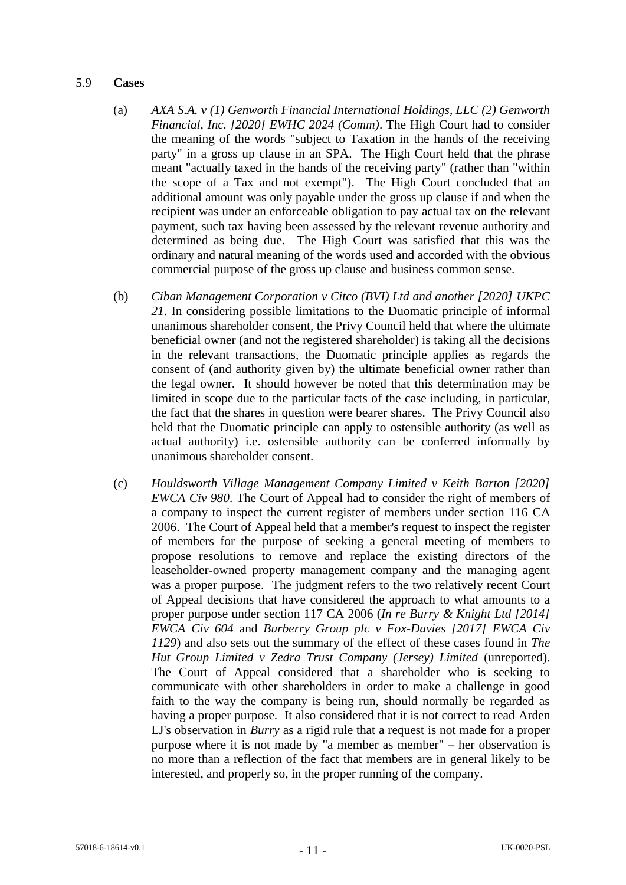### 5.9 **Cases**

- (a) *AXA S.A. v (1) Genworth Financial International Holdings, LLC (2) Genworth Financial, Inc. [2020] EWHC 2024 (Comm)*. The High Court had to consider the meaning of the words "subject to Taxation in the hands of the receiving party" in a gross up clause in an SPA. The High Court held that the phrase meant "actually taxed in the hands of the receiving party" (rather than "within the scope of a Tax and not exempt"). The High Court concluded that an additional amount was only payable under the gross up clause if and when the recipient was under an enforceable obligation to pay actual tax on the relevant payment, such tax having been assessed by the relevant revenue authority and determined as being due. The High Court was satisfied that this was the ordinary and natural meaning of the words used and accorded with the obvious commercial purpose of the gross up clause and business common sense.
- (b) *Ciban Management Corporation v Citco (BVI) Ltd and another [2020] UKPC 21*. In considering possible limitations to the Duomatic principle of informal unanimous shareholder consent, the Privy Council held that where the ultimate beneficial owner (and not the registered shareholder) is taking all the decisions in the relevant transactions, the Duomatic principle applies as regards the consent of (and authority given by) the ultimate beneficial owner rather than the legal owner. It should however be noted that this determination may be limited in scope due to the particular facts of the case including, in particular, the fact that the shares in question were bearer shares. The Privy Council also held that the Duomatic principle can apply to ostensible authority (as well as actual authority) i.e. ostensible authority can be conferred informally by unanimous shareholder consent.
- (c) *Houldsworth Village Management Company Limited v Keith Barton [2020] EWCA Civ 980*. The Court of Appeal had to consider the right of members of a company to inspect the current register of members under section 116 CA 2006. The Court of Appeal held that a member's request to inspect the register of members for the purpose of seeking a general meeting of members to propose resolutions to remove and replace the existing directors of the leaseholder-owned property management company and the managing agent was a proper purpose. The judgment refers to the two relatively recent Court of Appeal decisions that have considered the approach to what amounts to a proper purpose under section 117 CA 2006 (*In re Burry & Knight Ltd [2014] EWCA Civ 604* and *Burberry Group plc v Fox-Davies [2017] EWCA Civ 1129*) and also sets out the summary of the effect of these cases found in *The Hut Group Limited v Zedra Trust Company (Jersey) Limited* (unreported). The Court of Appeal considered that a shareholder who is seeking to communicate with other shareholders in order to make a challenge in good faith to the way the company is being run, should normally be regarded as having a proper purpose. It also considered that it is not correct to read Arden LJ's observation in *Burry* as a rigid rule that a request is not made for a proper purpose where it is not made by "a member as member" – her observation is no more than a reflection of the fact that members are in general likely to be interested, and properly so, in the proper running of the company.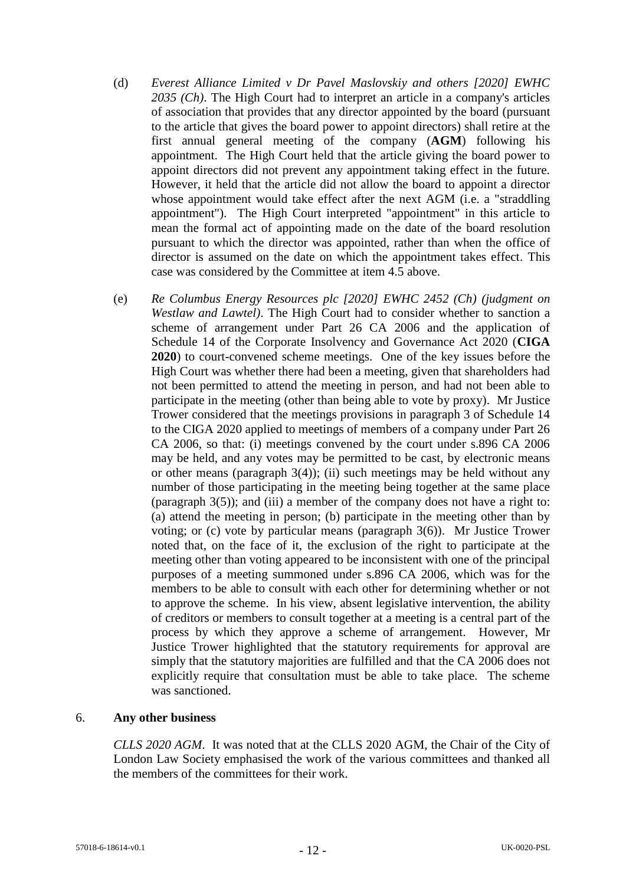- (d) *Everest Alliance Limited v Dr Pavel Maslovskiy and others [2020] EWHC 2035 (Ch)*. The High Court had to interpret an article in a company's articles of association that provides that any director appointed by the board (pursuant to the article that gives the board power to appoint directors) shall retire at the first annual general meeting of the company (**AGM**) following his appointment. The High Court held that the article giving the board power to appoint directors did not prevent any appointment taking effect in the future. However, it held that the article did not allow the board to appoint a director whose appointment would take effect after the next AGM (i.e. a "straddling") appointment"). The High Court interpreted "appointment" in this article to mean the formal act of appointing made on the date of the board resolution pursuant to which the director was appointed, rather than when the office of director is assumed on the date on which the appointment takes effect. This case was considered by the Committee at item 4.5 above.
- (e) *Re Columbus Energy Resources plc [2020] EWHC 2452 (Ch) (judgment on Westlaw and Lawtel)*. The High Court had to consider whether to sanction a scheme of arrangement under Part 26 CA 2006 and the application of Schedule 14 of the Corporate Insolvency and Governance Act 2020 (**CIGA 2020**) to court-convened scheme meetings. One of the key issues before the High Court was whether there had been a meeting, given that shareholders had not been permitted to attend the meeting in person, and had not been able to participate in the meeting (other than being able to vote by proxy). Mr Justice Trower considered that the meetings provisions in paragraph 3 of Schedule 14 to the CIGA 2020 applied to meetings of members of a company under Part 26 CA 2006, so that: (i) meetings convened by the court under s.896 CA 2006 may be held, and any votes may be permitted to be cast, by electronic means or other means (paragraph  $3(4)$ ); (ii) such meetings may be held without any number of those participating in the meeting being together at the same place (paragraph 3(5)); and (iii) a member of the company does not have a right to: (a) attend the meeting in person; (b) participate in the meeting other than by voting; or (c) vote by particular means (paragraph 3(6)). Mr Justice Trower noted that, on the face of it, the exclusion of the right to participate at the meeting other than voting appeared to be inconsistent with one of the principal purposes of a meeting summoned under s.896 CA 2006, which was for the members to be able to consult with each other for determining whether or not to approve the scheme. In his view, absent legislative intervention, the ability of creditors or members to consult together at a meeting is a central part of the process by which they approve a scheme of arrangement. However, Mr Justice Trower highlighted that the statutory requirements for approval are simply that the statutory majorities are fulfilled and that the CA 2006 does not explicitly require that consultation must be able to take place. The scheme was sanctioned.

# 6. **Any other business**

*CLLS 2020 AGM*. It was noted that at the CLLS 2020 AGM, the Chair of the City of London Law Society emphasised the work of the various committees and thanked all the members of the committees for their work.